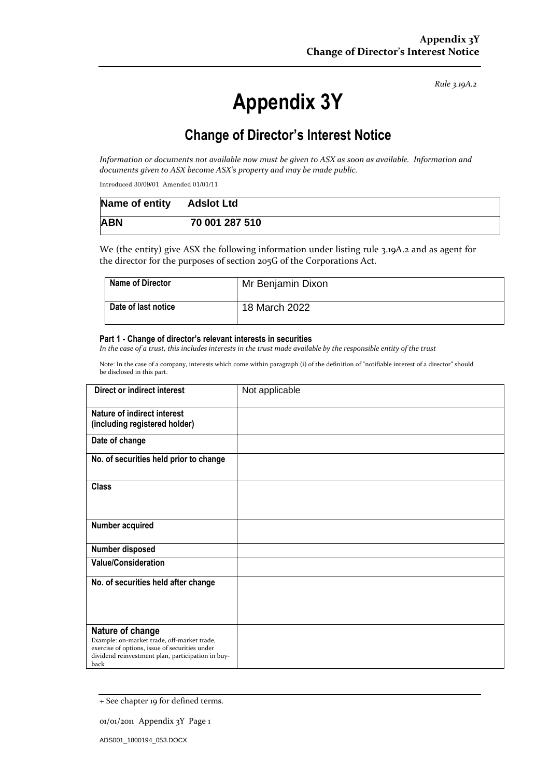*Rule 3.19A.2*

# **Appendix 3Y**

# **Change of Director's Interest Notice**

*Information or documents not available now must be given to ASX as soon as available. Information and documents given to ASX become ASX's property and may be made public.*

Introduced 30/09/01 Amended 01/01/11

| Name of entity Adslot Ltd |                |
|---------------------------|----------------|
| <b>ABN</b>                | 70 001 287 510 |

We (the entity) give ASX the following information under listing rule 3.19A.2 and as agent for the director for the purposes of section 205G of the Corporations Act.

| <b>Name of Director</b> | Mr Benjamin Dixon |
|-------------------------|-------------------|
| Date of last notice     | 18 March 2022     |

#### **Part 1 - Change of director's relevant interests in securities**

*In the case of a trust, this includes interests in the trust made available by the responsible entity of the trust*

Note: In the case of a company, interests which come within paragraph (i) of the definition of "notifiable interest of a director" should be disclosed in this part.

| Direct or indirect interest                                                                         | Not applicable |
|-----------------------------------------------------------------------------------------------------|----------------|
|                                                                                                     |                |
| Nature of indirect interest                                                                         |                |
| (including registered holder)                                                                       |                |
| Date of change                                                                                      |                |
| No. of securities held prior to change                                                              |                |
| <b>Class</b>                                                                                        |                |
|                                                                                                     |                |
| Number acquired                                                                                     |                |
| Number disposed                                                                                     |                |
| <b>Value/Consideration</b>                                                                          |                |
| No. of securities held after change                                                                 |                |
|                                                                                                     |                |
|                                                                                                     |                |
| Nature of change                                                                                    |                |
| Example: on-market trade, off-market trade,                                                         |                |
| exercise of options, issue of securities under<br>dividend reinvestment plan, participation in buy- |                |
| back                                                                                                |                |

<sup>+</sup> See chapter 19 for defined terms.